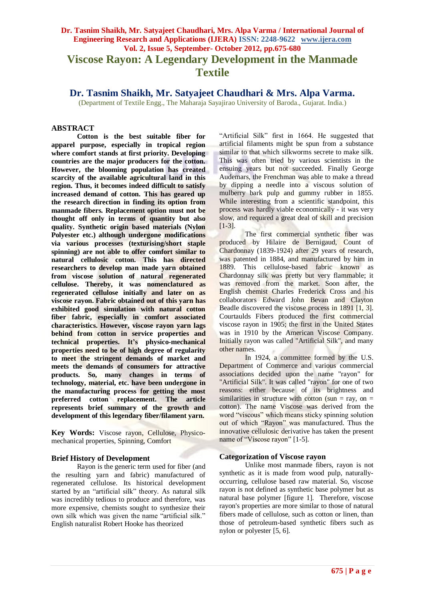# **Dr. Tasnim Shaikh, Mr. Satyajeet Chaudhari, Mrs. Alpa Varma / International Journal of Engineering Research and Applications (IJERA) ISSN: 2248-9622 www.ijera.com Vol. 2, Issue 5, September- October 2012, pp.675-680 Viscose Rayon: A Legendary Development in the Manmade Textile**

**Dr. Tasnim Shaikh, Mr. Satyajeet Chaudhari & Mrs. Alpa Varma.**

(Department of Textile Engg., The Maharaja Sayajirao University of Baroda., Gujarat. India.)

#### **ABSTRACT**

**Cotton is the best suitable fiber for apparel purpose, especially in tropical region where comfort stands at first priority. Developing countries are the major producers for the cotton. However, the blooming population has created scarcity of the available agricultural land in this region. Thus, it becomes indeed difficult to satisfy increased demand of cotton. This has geared up the research direction in finding its option from manmade fibers. Replacement option must not be thought off only in terms of quantity but also quality. Synthetic origin based materials (Nylon Polyester etc.) although undergone modifications via various processes (texturising/short staple spinning) are not able to offer comfort similar to natural cellulosic cotton. This has directed researchers to develop man made yarn obtained from viscose solution of natural regenerated cellulose. Thereby, it was nomenclatured as regenerated cellulose initially and later on as viscose rayon. Fabric obtained out of this yarn has exhibited good simulation with natural cotton fiber fabric, especially in comfort associated characteristics. However, viscose rayon yarn lags behind from cotton in service properties and technical properties. It's physico-mechanical properties need to be of high degree of regularity to meet the stringent demands of market and meets the demands of consumers for attractive products. So, many changes in terms of technology, material, etc. have been undergone in the manufacturing process for getting the most preferred cotton replacement. The article represents brief summary of the growth and development of this legendary fiber/filament yarn.**

**Key Words:** Viscose rayon, Cellulose, Physicomechanical properties, Spinning, Comfort

#### **Brief History of Development**

Rayon is the generic term used for fiber (and the resulting yarn and fabric) manufactured of regenerated cellulose. Its historical development started by an "artificial silk" theory. As natural silk was incredibly tedious to produce and therefore, was more expensive, chemists sought to synthesize their own silk which was given the name "artificial silk." English naturalist Robert Hooke has theorized

"Artificial Silk" first in 1664. He suggested that artificial filaments might be spun from a substance similar to that which silkworms secrete to make silk. This was often tried by various scientists in the ensuing years but not succeeded. Finally George Audemars, the Frenchman was able to make a thread by dipping a needle into a viscous solution of mulberry bark pulp and gummy rubber in 1855. While interesting from a scientific standpoint, this process was hardly viable economically - it was very slow, and required a great deal of skill and precision [1-3].

The first commercial synthetic fiber was produced by Hilaire de Bernigaud, Count of Chardonnay (1839-1924) after 29 years of research, was patented in 1884, and manufactured by him in 1889. This cellulose-based fabric known as Chardonnay silk was pretty but very flammable; it was removed from the market. Soon after, the English chemist Charles Frederick Cross and his collaborators Edward John Bevan and Clayton Beadle discovered the viscose process in 1891 [1, 3]. Courtaulds Fibers produced the first commercial viscose rayon in 1905; the first in the United States was in 1910 by the American Viscose Company. Initially rayon was called "Artificial Silk", and many other names.

In 1924, a committee formed by the U.S. Department of Commerce and various commercial associations decided upon the name "rayon" for "Artificial Silk". It was called "rayon" for one of two reasons: either because of its brightness and similarities in structure with cotton (sun = ray, on = cotton). The name Viscose was derived from the word "viscous" which means sticky spinning solution out of which "Rayon" was manufactured. Thus the innovative cellulosic derivative has taken the present name of "Viscose rayon" [1-5].

#### **Categorization of Viscose rayon**

Unlike most manmade fibers, rayon is not synthetic as it is made from wood pulp, naturallyoccurring, cellulose based raw material. So, viscose rayon is not defined as synthetic base polymer but as natural base polymer [figure 1]. Therefore, viscose rayon's properties are more similar to those of natural fibers made of cellulose, such as cotton or linen, than those of petroleum-based synthetic fibers such as nylon or polyester [5, 6].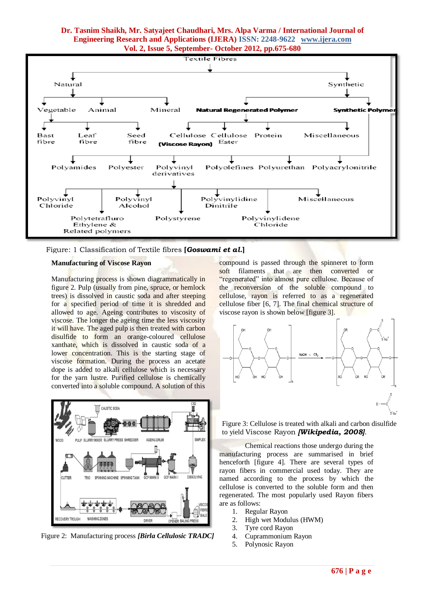

Figure: 1 Classification of Textile fibres **[***Goswami et al.***]**

#### **Manufacturing of Viscose Rayon**

Manufacturing process is shown diagrammatically in figure 2. [Pulp \(](http://en.wikipedia.org/wiki/Dissolving_pulp)usually from pine, spruce, or hemlock trees) is dissolved in [caustic soda](http://en.wikipedia.org/wiki/Caustic_soda) and after steeping for a specified period of time it is shredded and allowed to age. Ageing contributes to viscosity of viscose. The longer the ageing time the less viscosity it will have. The aged pulp is then treated with [carbon](http://en.wikipedia.org/wiki/Carbon_disulfide)  [disulfide](http://en.wikipedia.org/wiki/Carbon_disulfide) to form an orange-coloured cellulose xanthate, which is dissolved in caustic soda of a lower concentration. This is the starting stage of viscose formation. During the process an acetate [dope](http://en.wikipedia.org/wiki/Lacquer) is added to alkali cellulose which is necessary for the yarn lustre. Purified [cellulose](http://fibersource.com/f-tutor/cellulose.htm) is chemically converted into a soluble compound. A solution of this



Figure 2: Manufacturing process *[Birla Cellulosic TRADC]*

compound is passed through the [spinneret](http://fibersource.com/f-tutor/techpag.htm#spinneret) to form soft filaments that are then converted or "regenerated" into almost pure cellulose. Because of the reconversion of the soluble compound to cellulose, rayon is referred to as a regenerated cellulose fiber [6, 7]. The final chemical structure of viscose rayon is shown below [figure 3].



Figure 3: Cellulose is treated with alkali and carbon disulfide to yield Viscose Rayon *[Wikipedia, 2008]*.

Chemical reactions those undergo during the manufacturing process are summarised in brief henceforth [figure 4]. There are several types of rayon fibers in commercial used today. They are named according to the process by which the cellulose is converted to the soluble form and then regenerated. The most popularly used Rayon fibers are as follows:

- 1. Regular Rayon
- 2. High wet Modulus (HWM)
- 3. Tyre cord Rayon
- 4. Cuprammonium Rayon
- 5. Polynosic Rayon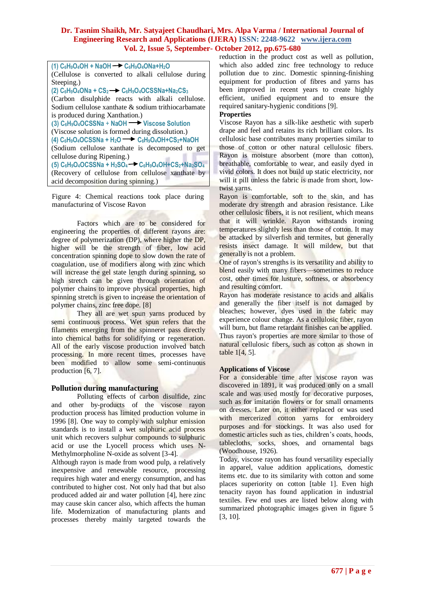| $(1)$ C <sub>6</sub> H <sub>9</sub> O <sub>4</sub> OH + NaOH $\rightarrow$ C <sub>6</sub> H <sub>9</sub> O <sub>4</sub> ONa+H <sub>2</sub> O |  |  |  |  |  |
|----------------------------------------------------------------------------------------------------------------------------------------------|--|--|--|--|--|
| (Cellulose is converted to alkali cellulose during                                                                                           |  |  |  |  |  |
| Steeping.)                                                                                                                                   |  |  |  |  |  |
| (2) $C_6H_9O_4ONa + CS_2 \rightarrow C_6H_9O_4OCSSNa + Na_2CS_3$                                                                             |  |  |  |  |  |
| (Carbon disulphide reacts with alkali cellulose.                                                                                             |  |  |  |  |  |
| Sodium cellulose xanthate & sodium trithiocarbamate                                                                                          |  |  |  |  |  |
| is produced during Xanthation.)                                                                                                              |  |  |  |  |  |
| (3) C <sub>6</sub> H <sub>9</sub> O <sub>4</sub> OCSSNa + NaOH Viscose Solution                                                              |  |  |  |  |  |
| (Viscose solution is formed during dissolution.)                                                                                             |  |  |  |  |  |
| (4) $C_6H_9O_4OCSSNa + H_2O \longrightarrow C_6H_9O_4OH + CS_2 + NaOH$                                                                       |  |  |  |  |  |
| (Sodium cellulose xanthate is decomposed to get                                                                                              |  |  |  |  |  |
| cellulose during Ripening.)                                                                                                                  |  |  |  |  |  |
| (5) $C_6H_9O_4OCSSNa + H_2SO_4 \rightarrow C_6H_9O_4OH + CS_2 + Na_2SO_4$                                                                    |  |  |  |  |  |
| (Recovery of cellulose from cellulose xanthate by                                                                                            |  |  |  |  |  |
| acid decomposition during spinning.)                                                                                                         |  |  |  |  |  |

Figure 4: Chemical reactions took place during manufacturing of Viscose Rayon

Factors which are to be considered for engineering the properties of different rayons are: degree of polymerization (DP), where higher the DP, higher will be the strength of fiber, low acid concentration spinning dope to slow down the rate of coagulation, use of modifiers along with zinc which will increase the gel state length during spinning, so high stretch can be given through orientation of polymer chains to improve physical properties, high spinning stretch is given to increase the orientation of polymer chains, zinc free dope. [8]

They all are [wet spun](http://fibersource.com/f-tutor/techpag.htm#wet spinning) yarns produced by semi continuous process. Wet spun refers that the filaments emerging from the spinneret pass directly into chemical baths for solidifying or regeneration. All of the early viscose production involved batch processing. In more recent times, processes have been modified to allow some semi-continuous production [6, 7].

#### **Pollution during manufacturing**

Polluting effects of carbon disulfide, zinc and other by-products of the viscose rayon production process has limited production volume in 1996 [8]. One way to comply with sulphur emission standards is to install a [wet sulphuric acid process](http://en.wikipedia.org/wiki/Wet_sulfuric_acid_process) unit which recovers sulphur compounds to sulphuric acid or use the [Lyocell](http://en.wikipedia.org/wiki/Lyocell) process which uses [N-](http://en.wikipedia.org/wiki/N-Methylmorpholine_N-oxide)[Methylmorpholine N-oxide](http://en.wikipedia.org/wiki/N-Methylmorpholine_N-oxide) as solvent [3-4].

Although rayon is made from wood pulp, a relatively inexpensive and renewable resource, processing requires high water and energy consumption, and has contributed to higher cost. Not only had that but also produced added air and water pollution [4], here zinc may cause skin cancer also, which affects the human life. Modernization of manufacturing plants and processes thereby mainly targeted towards the reduction in the product cost as well as pollution, which also added zinc free technology to reduce pollution due to zinc. Domestic spinning-finishing equipment for production of fibres and yarns has been improved in recent years to create highly efficient, unified equipment and to ensure the required sanitary-hygienic conditions [9].

#### **Properties**

Viscose Rayon has a silk-like aesthetic with superb drape and feel and retains its rich brilliant colors. Its cellulosic base contributes many properties similar to those of cotton or other natural cellulosic fibers. Rayon is moisture absorbent (more than cotton), breathable, comfortable to wear, and easily dyed in vivid colors. It does not build up static electricity, nor will it pill unless the fabric is made from short, lowtwist yarns.

Rayon is comfortable, soft to the skin, and has moderate dry strength and abrasion resistance. Like other cellulosic fibers, it is not resilient, which means that it will wrinkle. Rayon withstands ironing temperatures slightly less than those of cotton. It may be attacked by silverfish and termites, but generally resists insect damage. It will mildew, but that generally is not a problem.

One of rayon's strengths is its versatility and ability to blend easily with many fibers—sometimes to reduce cost, other times for lusture, softness, or absorbency and resulting comfort.

Rayon has moderate resistance to acids and alkalis and generally the fiber itself is not damaged by bleaches; however, dyes used in the fabric may experience colour change. As a cellulosic fiber, rayon will burn, but flame retardant finishes can be applied. Thus rayon's properties are more similar to those of natural cellulosic fibers, such as cotton as shown in table 1[4, 5].

#### **Applications of Viscose**

For a considerable time after viscose rayon was discovered in 1891, it was produced only on a small scale and was used mostly for decorative purposes, such as for imitation flowers or for small ornaments on dresses. Later on, it either replaced or was used with mercerized cotton yarns for embroidery purposes and for stockings. It was also used for domestic articles such as ties, children's coats, hoods, tablecloths, socks, shoes, and ornamental bags (Woodhouse, 1926).

Today, viscose rayon has found versatility especially in apparel, value addition applications, domestic items etc. due to its similarity with cotton and some places superiority on cotton [table 1]. Even high tenacity rayon has found application in industrial textiles. Few end uses are listed below along with summarized photographic images given in figure 5 [3, 10].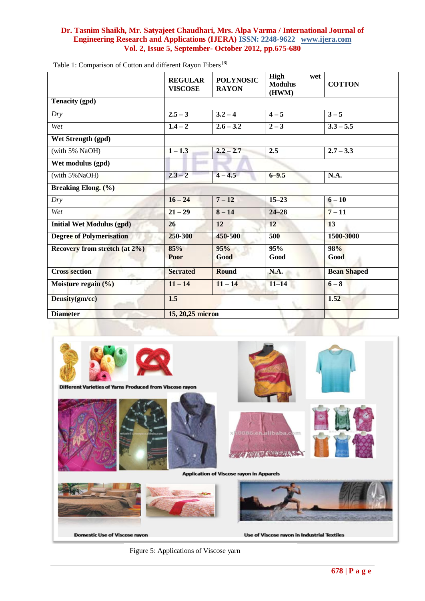|                                       | <b>REGULAR</b><br><b>VISCOSE</b> | <b>POLYNOSIC</b><br><b>RAYON</b> | High<br>wet<br><b>Modulus</b><br>(HWM) | <b>COTTON</b>      |
|---------------------------------------|----------------------------------|----------------------------------|----------------------------------------|--------------------|
| <b>Tenacity (gpd)</b>                 |                                  |                                  |                                        |                    |
| Dry                                   | $2.5 - 3$                        | $3.2 - 4$                        | $4 - 5$                                | $3 - 5$            |
| Wet                                   | $1.4 - 2$                        | $2.6 - 3.2$                      | $2 - 3$                                | $3.3 - 5.5$        |
| Wet Strength (gpd)                    |                                  |                                  |                                        |                    |
| (with 5% NaOH)                        | $1 - 1.3$                        | $2.2 - 2.7$                      | 2.5                                    | $2.7 - 3.3$        |
| Wet modulus (gpd)                     |                                  |                                  |                                        |                    |
| (with 5%NaOH)                         | $2.3 - 2$                        | $4 - 4.5$                        | $6 - 9.5$                              | N.A.               |
| Breaking Elong. (%)                   |                                  |                                  |                                        |                    |
| Dry                                   | $16 - 24$                        | $7 - 12$                         | $15 - 23$                              | $6 - 10$           |
| Wet                                   | $21 - 29$                        | $8 - 14$                         | $24 - 28$                              | $7 - 11$           |
| <b>Initial Wet Modulus (gpd)</b>      | 26                               | 12                               | 12                                     | 13                 |
| <b>Degree of Polymerisation</b>       | 250-300                          | 450-500                          | 500                                    | 1500-3000          |
| Recovery from stretch (at 2%)         | 85%<br>Poor                      | 95%<br>Good                      | 95%<br>Good                            | 98%<br>Good        |
| <b>Cross section</b>                  | <b>Serrated</b>                  | <b>Round</b>                     | N.A.                                   | <b>Bean Shaped</b> |
| 12<br>Moisture regain $(\frac{6}{6})$ | $11 - 14$                        | $11 - 14$                        | $11 - 14$                              | $6 - 8$            |
| Density(gm/cc)                        | 1.5                              |                                  |                                        | 1.52               |
| <b>Diameter</b>                       | 15, 20, 25 micron                |                                  |                                        |                    |

Table 1: Comparison of Cotton and different Rayon Fibers<sup>[8]</sup>



Figure 5: Applications of Viscose yarn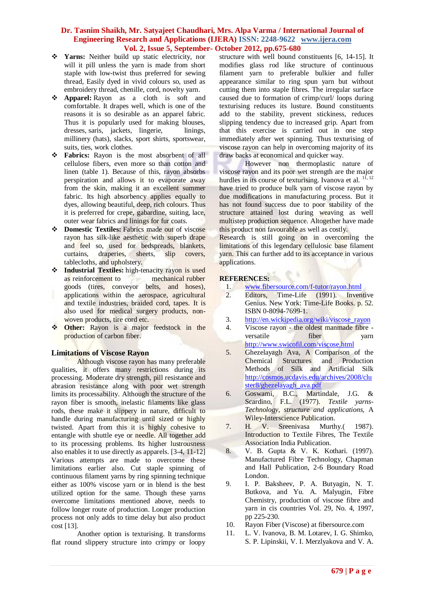- **Yarns:** Neither build up static electricity, nor will it pill unless the yarn is made from short staple with low-twist thus preferred for sewing thread, Easily dyed in vivid colours so, used as embroidery thread, chenille, cord, novelty yarn.
- **Apparel:** Rayon as a cloth is soft and comfortable. It drapes well, which is one of the reasons it is so desirable as an apparel fabric. Thus it is popularly used for making blouses, dresses, saris, jackets, lingerie, linings, millinery (hats), slacks, sport shirts, sportswear, suits, ties, work clothes.
- **Fabrics:** Rayon is the most absorbent of all cellulose fibers, even more so than cotton and linen (table 1). Because of this, rayon absorbs perspiration and allows it to evaporate away from the skin, making it an excellent summer fabric. Its high absorbency applies equally to dyes, allowing beautiful, deep, rich colours. Thus it is preferred for crepe, gabardine, suiting, lace, outer wear fabrics and linings for fur coats.
- $\div$  **Domestic Textiles:** Fabrics made out of viscose rayon has silk-like aesthetic with superb drape and feel so, used for bedspreads, blankets, curtains, draperies, sheets, slip covers, tablecloths, and upholstery.
- **Industrial Textiles:** high-tenacity rayon is used as reinforcement to mechanical rubber goods (tires, conveyor belts, and hoses), applications within the aerospace, agricultural and textile industries, braided cord, tapes. It is also used for [medical](http://en.wikipedia.org/wiki/Medical) [surgery](http://en.wikipedia.org/wiki/Surgery) products, nonwoven products[, tire](http://en.wikipedia.org/wiki/Tire) cord etc.
- **Other:** Rayon is a major feedstock in the production o[f carbon fiber.](http://en.wikipedia.org/wiki/Carbon_fiber)

# **Limitations of Viscose Rayon**

Although viscose rayon has many preferable qualities, it offers many restrictions during its processing. Moderate dry strength, pill resistance and abrasion resistance along with poor wet strength limits its processability. Although the structure of the rayon fiber is smooth, inelastic filaments like glass rods, these make it slippery in nature, difficult to handle during manufacturing until sized or highly twisted. Apart from this it is highly cohesive to entangle with shuttle eye or needle. All together add to its processing problems. Its higher lustrousness also enables it to use directly as apparels. [3-4, 11-12] Various attempts are made to overcome these limitations earlier also. Cut staple spinning of continuous filament yarns by ring spinning technique either as 100% viscose yarn or in blend is the best utilized option for the same. Though these yarns overcome limitations mentioned above, needs to follow longer route of production. Longer production process not only adds to time delay but also product cost [13].

Another option is texturising. It transforms flat round slippery structure into crimpy or loopy

structure with well bound constituents [6, 14-15]. It modifies glass rod like structure of continuous filament yarn to preferable bulkier and fuller appearance similar to ring spun yarn but without cutting them into staple fibres. The irregular surface caused due to formation of crimp/curl/ loops during texturising reduces its lusture. Bound constituents add to the stability, prevent stickiness, reduces slipping tendency due to increased grip. Apart from that this exercise is carried out in one step immediately after wet spinning. Thus texturising of viscose rayon can help in overcoming majority of its draw backs at economical and quicker way.

However non thermoplastic nature of viscose rayon and its poor wet strength are the major hurdles in its course of texturising. Ivanova et al. <sup>11, 12</sup> have tried to produce bulk yarn of viscose rayon by due modifications in manufacturing process. But it has not found success due to poor stability of the structure attained lost during weaving as well multistep production sequence. Altogether have made this product non favourable as well as costly.

Research is still going on in overcoming the limitations of this legendary cellulosic base filament yarn. This can further add to its acceptance in various applications.

#### **REFERENCES:**

- 1. [www.fibersource.com/f-tutor/rayon.html](http://www.fibersource.com/f-tutor/rayon.html)
- 2. Editors, Time-Life (1991). Inventive Genius. New York: Time-Life Books. p. 52. [ISBN](http://en.wikipedia.org/wiki/International_Standard_Book_Number) [0-8094-7699-1.](http://en.wikipedia.org/wiki/Special:BookSources/0-8094-7699-1)
- 3. [http://en.wickipedia.org/wiki/viscose\\_rayon](http://en.wickipedia.org/wiki/viscose_rayon)
- 4. Viscose rayon the oldest manmade fibre versatile fiber yarn <http://www.swicofil.com/viscose.html>
- 5. Ghezelayagh Ava, A Comparison of the Chemical Structures and Production Methods of Silk and Artificial Silk [http://cosmos.ucdavis.edu/archives/2008/clu](http://cosmos.ucdavis.edu/archives/2008/cluster8/ghezelayagh_ava.pdf) [ster8/ghezelayagh\\_ava.pdf](http://cosmos.ucdavis.edu/archives/2008/cluster8/ghezelayagh_ava.pdf)
- 6. Goswami, B.C., Martindale, J.G. & Scardino, F.L. (1977). *Textile yarns-Technology, structure and applications,* A Wiley-Interscience Publication.
- 7. H. V. Sreenivasa Murthy.( 1987). Introduction to Textile Fibres, The Textile Association India Publication.
- 8. V. B. Gupta & V. K. Kothari. (1997). Manufactured Fibre Technology, Chapman and Hall Publication, 2-6 Boundary Road London.
- 9. I. P. Baksheev, P. A. Butyagin, N. T. Butkova, and Yu. A. Malyugin, Fibre Chemistry, production of viscose fibre and yarn in cis countries Vol. 29, No. 4, 1997, pp 225-230.
- 10. [Rayon Fiber \(Viscose\) at fibersource.com](http://fibersource.com/f-tutor/rayon.htm)
- 11. [L. V. Ivanova,](https://springerlink3.metapress.com/content/?Author=L.+V.+Ivanova) [B. M. Lotarev,](https://springerlink3.metapress.com/content/?Author=B.+M.+Lotarev) [I. G. Shimko,](https://springerlink3.metapress.com/content/?Author=I.+G.+Shimko) [S. P. Lipinskii,](https://springerlink3.metapress.com/content/?Author=S.+P.+Lipinskii) [V. I. Merzlyakova](https://springerlink3.metapress.com/content/?Author=V.+I.+Merzlyakova) and [V. A.](https://springerlink3.metapress.com/content/?Author=V.+A.+Usenko)